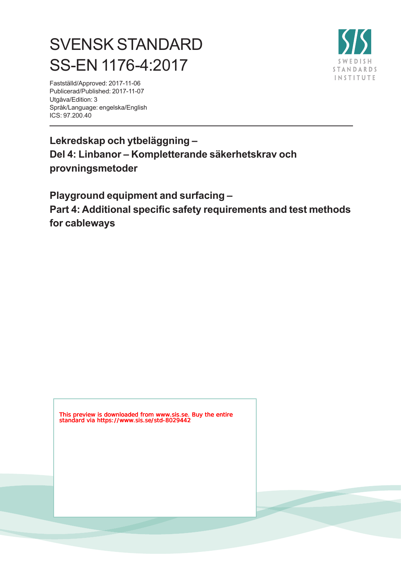# SVENSK STANDARD SS-EN 1176-4:2017



Fastställd/Approved: 2017-11-06 Publicerad/Published: 2017-11-07 Utgåva/Edition: 3 Språk/Language: engelska/English ICS: 97.200.40

**Lekredskap och ytbeläggning – Del 4: Linbanor – Kompletterande säkerhetskrav och provningsmetoder**

**Playground equipment and surfacing – Part 4: Additional specific safety requirements and test methods for cableways**

This preview is downloaded from www.sis.se. Buy the entire standard via https://www.sis.se/std-8029442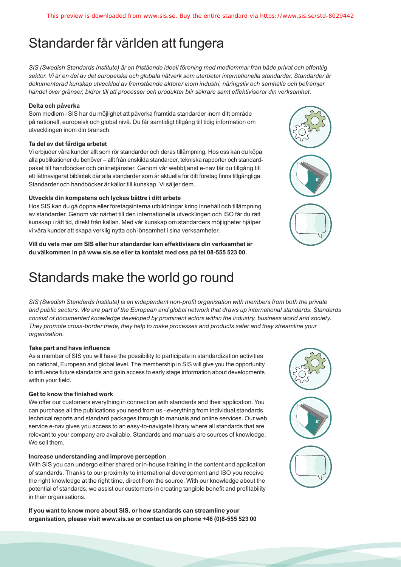# Standarder får världen att fungera

*SIS (Swedish Standards Institute) är en fristående ideell förening med medlemmar från både privat och offentlig sektor. Vi är en del av det europeiska och globala nätverk som utarbetar internationella standarder. Standarder är dokumenterad kunskap utvecklad av framstående aktörer inom industri, näringsliv och samhälle och befrämjar handel över gränser, bidrar till att processer och produkter blir säkrare samt effektiviserar din verksamhet.* 

#### **Delta och påverka**

Som medlem i SIS har du möjlighet att påverka framtida standarder inom ditt område på nationell, europeisk och global nivå. Du får samtidigt tillgång till tidig information om utvecklingen inom din bransch.

#### **Ta del av det färdiga arbetet**

Vi erbjuder våra kunder allt som rör standarder och deras tillämpning. Hos oss kan du köpa alla publikationer du behöver – allt från enskilda standarder, tekniska rapporter och standardpaket till handböcker och onlinetjänster. Genom vår webbtjänst e-nav får du tillgång till ett lättnavigerat bibliotek där alla standarder som är aktuella för ditt företag finns tillgängliga. Standarder och handböcker är källor till kunskap. Vi säljer dem.

#### **Utveckla din kompetens och lyckas bättre i ditt arbete**

Hos SIS kan du gå öppna eller företagsinterna utbildningar kring innehåll och tillämpning av standarder. Genom vår närhet till den internationella utvecklingen och ISO får du rätt kunskap i rätt tid, direkt från källan. Med vår kunskap om standarders möjligheter hjälper vi våra kunder att skapa verklig nytta och lönsamhet i sina verksamheter.

**Vill du veta mer om SIS eller hur standarder kan effektivisera din verksamhet är du välkommen in på www.sis.se eller ta kontakt med oss på tel 08-555 523 00.**

# Standards make the world go round

*SIS (Swedish Standards Institute) is an independent non-profit organisation with members from both the private and public sectors. We are part of the European and global network that draws up international standards. Standards consist of documented knowledge developed by prominent actors within the industry, business world and society. They promote cross-border trade, they help to make processes and products safer and they streamline your organisation.*

#### **Take part and have influence**

As a member of SIS you will have the possibility to participate in standardization activities on national, European and global level. The membership in SIS will give you the opportunity to influence future standards and gain access to early stage information about developments within your field.

#### **Get to know the finished work**

We offer our customers everything in connection with standards and their application. You can purchase all the publications you need from us - everything from individual standards, technical reports and standard packages through to manuals and online services. Our web service e-nav gives you access to an easy-to-navigate library where all standards that are relevant to your company are available. Standards and manuals are sources of knowledge. We sell them.

#### **Increase understanding and improve perception**

With SIS you can undergo either shared or in-house training in the content and application of standards. Thanks to our proximity to international development and ISO you receive the right knowledge at the right time, direct from the source. With our knowledge about the potential of standards, we assist our customers in creating tangible benefit and profitability in their organisations.

**If you want to know more about SIS, or how standards can streamline your organisation, please visit www.sis.se or contact us on phone +46 (0)8-555 523 00**



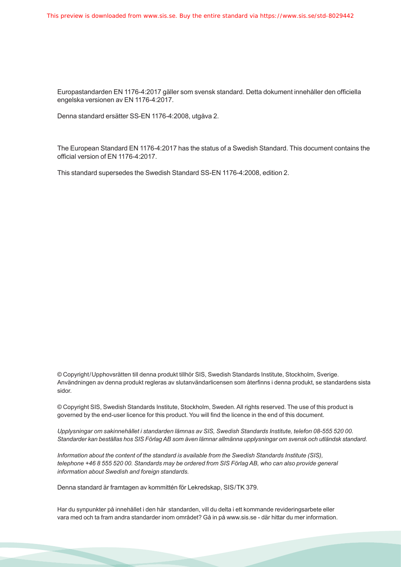Europastandarden EN 1176-4:2017 gäller som svensk standard. Detta dokument innehåller den officiella engelska versionen av EN 1176-4:2017.

Denna standard ersätter SS-EN 1176-4:2008, utgåva 2.

The European Standard EN 1176-4:2017 has the status of a Swedish Standard. This document contains the official version of EN 1176-4:2017.

This standard supersedes the Swedish Standard SS-EN 1176-4:2008, edition 2.

© Copyright / Upphovsrätten till denna produkt tillhör SIS, Swedish Standards Institute, Stockholm, Sverige. Användningen av denna produkt regleras av slutanvändarlicensen som återfinns i denna produkt, se standardens sista sidor.

© Copyright SIS, Swedish Standards Institute, Stockholm, Sweden. All rights reserved. The use of this product is governed by the end-user licence for this product. You will find the licence in the end of this document.

*Upplysningar om sakinnehållet i standarden lämnas av SIS, Swedish Standards Institute, telefon 08-555 520 00. Standarder kan beställas hos SIS Förlag AB som även lämnar allmänna upplysningar om svensk och utländsk standard.*

*Information about the content of the standard is available from the Swedish Standards Institute (SIS), telephone +46 8 555 520 00. Standards may be ordered from SIS Förlag AB, who can also provide general information about Swedish and foreign standards.*

Denna standard är framtagen av kommittén för Lekredskap, SIS / TK 379.

Har du synpunkter på innehållet i den här standarden, vill du delta i ett kommande revideringsarbete eller vara med och ta fram andra standarder inom området? Gå in på www.sis.se - där hittar du mer information.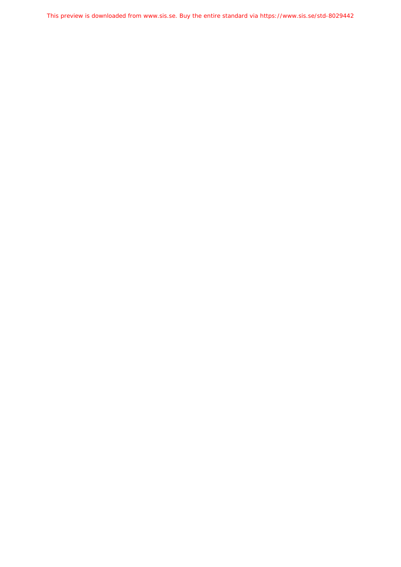This preview is downloaded from www.sis.se. Buy the entire standard via https://www.sis.se/std-8029442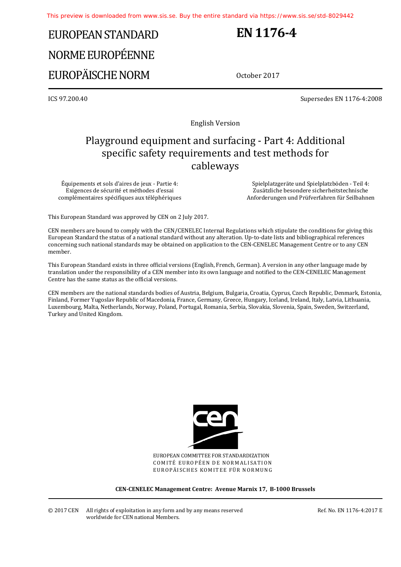# EUROPEAN STANDARD NORME EUROPÉENNE EUROPÄISCHE NORM

# **EN 1176-4**

October 2017

ICS 97.200.40 Supersedes EN 1176-4:2008

English Version

# Playground equipment and surfacing - Part 4: Additional specific safety requirements and test methods for cableways

Équipements et sols d'aires de jeux - Partie 4: Exigences de sécurité et méthodes d'essai complémentaires spécifiques aux téléphériques

 Spielplatzgeräte und Spielplatzböden - Teil 4: Zusätzliche besondere sicherheitstechnische Anforderungen und Prüfverfahren für Seilbahnen

This European Standard was approved by CEN on 2 July 2017.

CEN members are bound to comply with the CEN/CENELEC Internal Regulations which stipulate the conditions for giving this European Standard the status of a national standard without any alteration. Up-to-date lists and bibliographical references concerning such national standards may be obtained on application to the CEN-CENELEC Management Centre or to any CEN member.

This European Standard exists in three official versions (English, French, German). A version in any other language made by translation under the responsibility of a CEN member into its own language and notified to the CEN-CENELEC Management Centre has the same status as the official versions.

CEN members are the national standards bodies of Austria, Belgium, Bulgaria, Croatia, Cyprus, Czech Republic, Denmark, Estonia, Finland, Former Yugoslav Republic of Macedonia, France, Germany, Greece, Hungary, Iceland, Ireland, Italy, Latvia, Lithuania, Luxembourg, Malta, Netherlands, Norway, Poland, Portugal, Romania, Serbia, Slovakia, Slovenia, Spain, Sweden, Switzerland, Turkey and United Kingdom.



EUROPEAN COMMITTEE FOR STANDARDIZATION COMITÉ EUROPÉEN DE NORMALISATION EUROPÄISCHES KOMITEE FÜR NORMUNG

**CEN-CENELEC Management Centre: Avenue Marnix 17, B-1000 Brussels**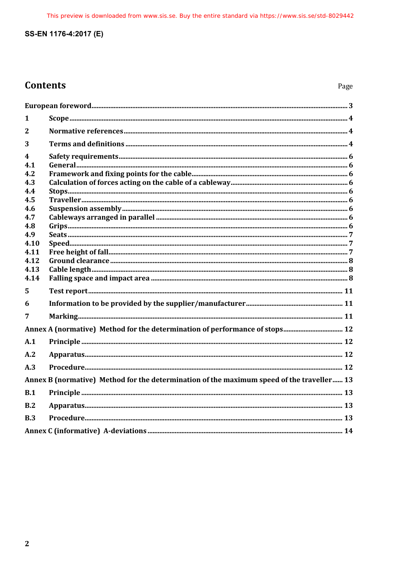This preview is downloaded from www.sis.se. Buy the entire standard via https://www.sis.se/std-8029442

# SS-EN 1176-4:2017 (E)

# **Contents**

| 1                                                                                         |  |  |
|-------------------------------------------------------------------------------------------|--|--|
| 2                                                                                         |  |  |
| 3                                                                                         |  |  |
| 4                                                                                         |  |  |
| 4.1                                                                                       |  |  |
| 4.2                                                                                       |  |  |
| 4.3                                                                                       |  |  |
| 4.4                                                                                       |  |  |
| 4.5                                                                                       |  |  |
| 4.6                                                                                       |  |  |
| 4.7                                                                                       |  |  |
| 4.8                                                                                       |  |  |
| 4.9                                                                                       |  |  |
| 4.10                                                                                      |  |  |
| 4.11                                                                                      |  |  |
| 4.12                                                                                      |  |  |
| 4.13                                                                                      |  |  |
| 4.14                                                                                      |  |  |
| 5                                                                                         |  |  |
| 6                                                                                         |  |  |
| 7                                                                                         |  |  |
|                                                                                           |  |  |
| A.1                                                                                       |  |  |
| A.2                                                                                       |  |  |
| A.3                                                                                       |  |  |
| Annex B (normative) Method for the determination of the maximum speed of the traveller 13 |  |  |
| R.1                                                                                       |  |  |
| R.2                                                                                       |  |  |
| B.3                                                                                       |  |  |
|                                                                                           |  |  |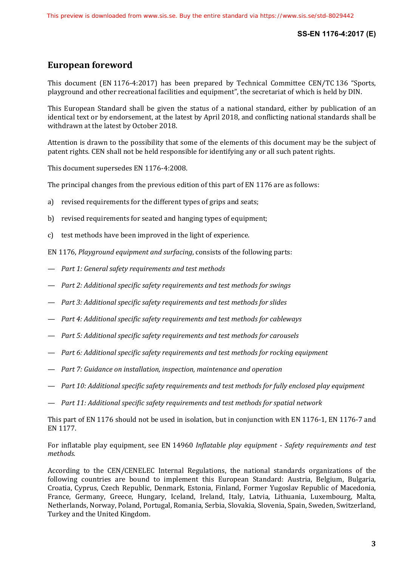# <span id="page-6-0"></span>**European foreword**

This document (EN 1176-4:2017) has been prepared by Technical Committee CEN/TC 136 "Sports, playground and other recreational facilities and equipment", the secretariat of which is held by DIN.

This European Standard shall be given the status of a national standard, either by publication of an identical text or by endorsement, at the latest by April 2018, and conflicting national standards shall be withdrawn at the latest by October 2018.

Attention is drawn to the possibility that some of the elements of this document may be the subject of patent rights. CEN shall not be held responsible for identifying any or all such patent rights.

This document supersedes EN 1176-4:2008.

The principal changes from the previous edition of this part of EN 1176 are as follows:

- a) revised requirements for the different types of grips and seats;
- b) revised requirements for seated and hanging types of equipment;
- c) test methods have been improved in the light of experience.

EN 1176, *Playground equipment and surfacing*, consists of the following parts:

- *Part 1: General safety requirements and test methods*
- *Part 2: Additional specific safety requirements and test methods for swings*
- *Part 3: Additional specific safety requirements and test methods for slides*
- *Part 4: Additional specific safety requirements and test methods for cableways*
- *Part 5: Additional specific safety requirements and test methods for carousels*
- *Part 6: Additional specific safety requirements and test methods for rocking equipment*
- *Part 7: Guidance on installation, inspection, maintenance and operation*
- *Part 10: Additional specific safety requirements and test methods for fully enclosed play equipment*
- *Part 11: Additional specific safety requirements and test methods for spatial network*

This part of EN 1176 should not be used in isolation, but in conjunction with EN 1176-1, EN 1176-7 and EN 1177.

For inflatable play equipment, see EN 14960 *Inflatable play equipment - Safety requirements and test methods.*

According to the CEN/CENELEC Internal Regulations, the national standards organizations of the following countries are bound to implement this European Standard: Austria, Belgium, Bulgaria, Croatia, Cyprus, Czech Republic, Denmark, Estonia, Finland, Former Yugoslav Republic of Macedonia, France, Germany, Greece, Hungary, Iceland, Ireland, Italy, Latvia, Lithuania, Luxembourg, Malta, Netherlands, Norway, Poland, Portugal, Romania, Serbia, Slovakia, Slovenia, Spain, Sweden, Switzerland, Turkey and the United Kingdom.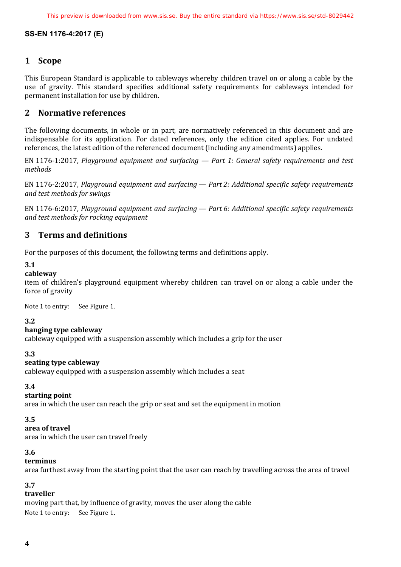# <span id="page-7-0"></span>**1 Scope**

This European Standard is applicable to cableways whereby children travel on or along a cable by the use of gravity. This standard specifies additional safety requirements for cableways intended for permanent installation for use by children.

# <span id="page-7-1"></span>**2 Normative references**

The following documents, in whole or in part, are normatively referenced in this document and are indispensable for its application. For dated references, only the edition cited applies. For undated references, the latest edition of the referenced document (including any amendments) applies.

EN 1176-1:2017, *Playground equipment and surfacing — Part 1: General safety requirements and test methods*

EN 1176-2:2017, *Playground equipment and surfacing — Part 2: Additional specific safety requirements and test methods for swings*

EN 1176-6:2017, *Playground equipment and surfacing — Part 6: Additional specific safety requirements and test methods for rocking equipment*

# <span id="page-7-2"></span>**3 Terms and definitions**

For the purposes of this document, the following terms and definitions apply.

#### **3.1**

#### **cableway**

item of children's playground equipment whereby children can travel on or along a cable under the force of gravity

Note 1 to entry: See Figure 1.

#### **3.2**

#### **hanging type cableway**

cableway equipped with a suspension assembly which includes a grip for the user

#### **3.3**

#### **seating type cableway**

cableway equipped with a suspension assembly which includes a seat

# **3.4**

# **starting point**

area in which the user can reach the grip or seat and set the equipment in motion

#### **3.5**

#### **area of travel**

area in which the user can travel freely

#### **3.6**

#### **terminus**

area furthest away from the starting point that the user can reach by travelling across the area of travel

# **3.7**

### **traveller**

moving part that, by influence of gravity, moves the user along the cable Note 1 to entry: See Figure 1.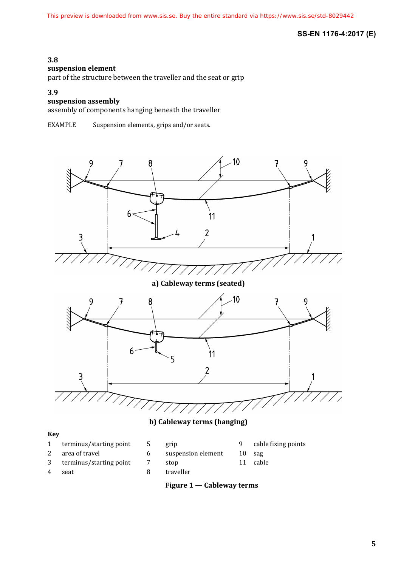#### **3.8**

#### **suspension element**

part of the structure between the traveller and the seat or grip

#### **3.9**

#### **suspension assembly**

assembly of components hanging beneath the traveller

EXAMPLE Suspension elements, grips and/or seats.



#### **Key**

- 1 terminus/starting point 5 grip 9 cable fixing points<br>2 area of travel 6 suspension element 10 sag
- 
- 2 area of travel 6 suspension element 10 sag<br>3 terminus/starting point 7 stop 11 cable
- 3 terminus/starting point 7 stop 11<br>seat 8 traveller
	-
- 
- 
- 
- 4 seat 6 8 traveller

**Figure 1 — Cableway terms**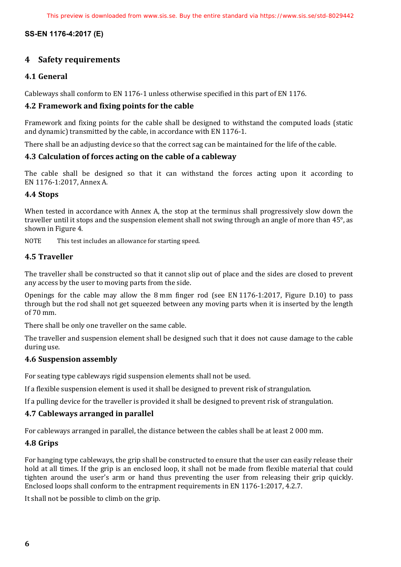# <span id="page-9-0"></span>**4 Safety requirements**

# <span id="page-9-1"></span>**4.1 General**

Cableways shall conform to EN 1176-1 unless otherwise specified in this part of EN 1176.

### <span id="page-9-2"></span>**4.2 Framework and fixing points for the cable**

Framework and fixing points for the cable shall be designed to withstand the computed loads (static and dynamic) transmitted by the cable, in accordance with EN 1176-1.

There shall be an adjusting device so that the correct sag can be maintained for the life of the cable.

### <span id="page-9-3"></span>**4.3 Calculation of forces acting on the cable of a cableway**

The cable shall be designed so that it can withstand the forces acting upon it according to EN 1176-1:2017, Annex A.

### <span id="page-9-4"></span>**4.4 Stops**

When tested in accordance with Annex A, the stop at the terminus shall progressively slow down the traveller until it stops and the suspension element shall not swing through an angle of more than 45°, as shown in Figure 4.

NOTE This test includes an allowance for starting speed.

### <span id="page-9-5"></span>**4.5 Traveller**

The traveller shall be constructed so that it cannot slip out of place and the sides are closed to prevent any access by the user to moving parts from the side.

Openings for the cable may allow the 8 mm finger rod (see EN 1176-1:2017, Figure D.10) to pass through but the rod shall not get squeezed between any moving parts when it is inserted by the length of 70 mm.

There shall be only one traveller on the same cable.

The traveller and suspension element shall be designed such that it does not cause damage to the cable during use.

#### <span id="page-9-6"></span>**4.6 Suspension assembly**

For seating type cableways rigid suspension elements shall not be used.

If a flexible suspension element is used it shall be designed to prevent risk of strangulation.

If a pulling device for the traveller is provided it shall be designed to prevent risk of strangulation.

#### <span id="page-9-7"></span>**4.7 Cableways arranged in parallel**

For cableways arranged in parallel, the distance between the cables shall be at least 2 000 mm.

#### <span id="page-9-8"></span>**4.8 Grips**

For hanging type cableways, the grip shall be constructed to ensure that the user can easily release their hold at all times. If the grip is an enclosed loop, it shall not be made from flexible material that could tighten around the user's arm or hand thus preventing the user from releasing their grip quickly. Enclosed loops shall conform to the entrapment requirements in EN 1176-1:2017, 4.2.7.

It shall not be possible to climb on the grip.